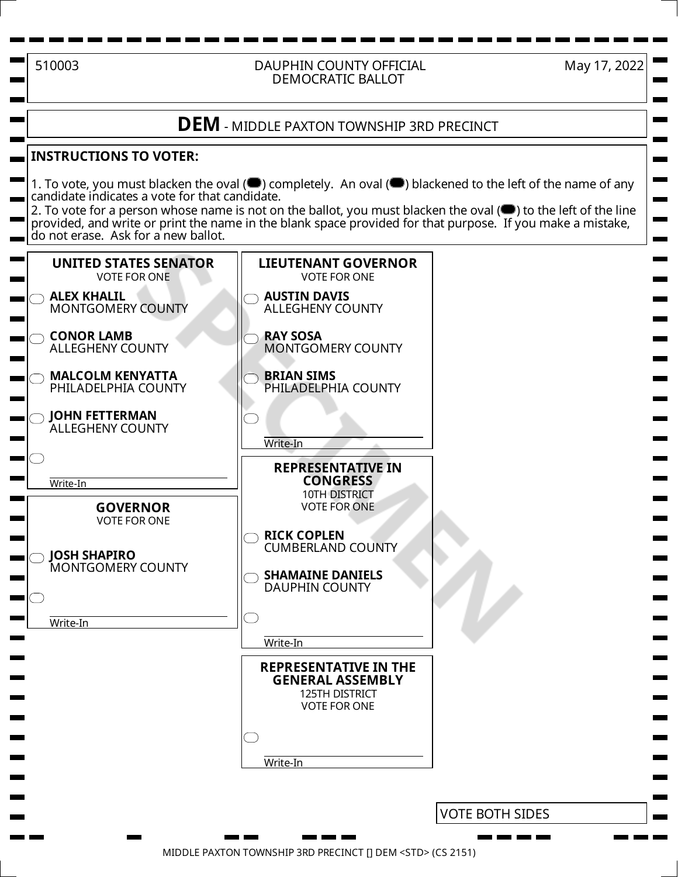## 510003 DAUPHIN COUNTY OFFICIAL DEMOCRATIC BALLOT

## **DEM** - MIDDLE PAXTON TOWNSHIP 3RD PRECINCT **INSTRUCTIONS TO VOTER:** 1. To vote, you must blacken the oval (<sup>1</sup>) completely. An oval (<sup>2</sup>) blackened to the left of the name of any candidate indicates a vote for that candidate. 2. To vote for a person whose name is not on the ballot, you must blacken the oval  $($  ) to the left of the line provided, and write or print the name in the blank space provided for that purpose. If you make a mistake, do not erase. Ask for a new ballot. **UNITED STATES SENATOR** VOTE FOR ONE  $\frown$  ALEX KHALIL MONTGOMERY COUNTY **CONOR LAMB** ALLEGHENY COUNTY **MALCOLM KENYATTA** PHILADELPHIA COUNTY **JOHN FETTERMAN** ALLEGHENY COUNTY Write-In **GOVERNOR** VOTE FOR ONE **JOSH SHAPIRO** MONTGOMERY COUNTY Write-In **LIEUTENANT GOVERNOR** VOTE FOR ONE **AUSTIN DAVIS** ALLEGHENY COUNTY **RAY SOSA** MONTGOMERY COUNTY **BRIAN SIMS** PHILADELPHIA COUNTY Write-In **REPRESENTATIVE IN CONGRESS** 10TH DISTRICT VOTE FOR ONE **RICK COPLEN** CUMBERLAND COUNTY **SHAMAINE DANIELS** DAUPHIN COUNTY Write-In **REPRESENTATIVE IN THE GENERAL ASSEMBLY** 125TH DISTRICT VOTE FOR ONE Write-In

VOTE BOTH SIDES